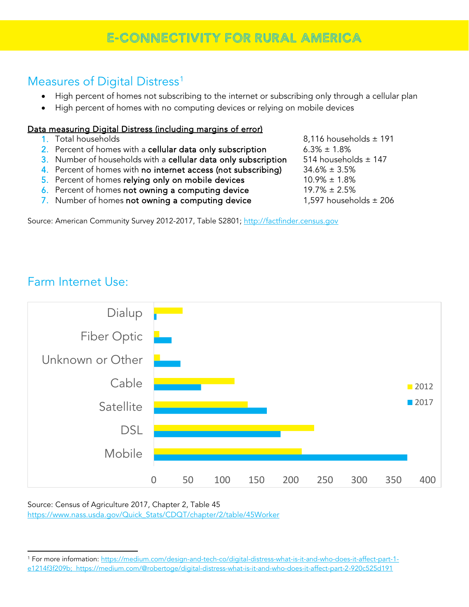# E-CONNECTIVITY FOR RURAL AMERICA

#### Measures of Digital Distress<sup>[1](#page-0-0)</sup>

- High percent of homes not subscribing to the internet or subscribing only through a cellular plan
- High percent of homes with no computing devices or relying on mobile devices

#### Data measuring Digital Distress (including margins of error)

- 
- 2. Percent of homes with a cellular data only subscription  $6.3\% \pm 1.8\%$
- 3. Number of households with a **cellular data only subscription** 514 households  $\pm$  147<br>4. Percent of homes with **no internet access (not subscribing)** 34.6%  $\pm$  3.5%
- 4. Percent of homes with no internet access (not subscribing)
- 5. Percent of homes **relying only on mobile devices** 10.9%  $\pm$  1.8%<br>
6. Percent of homes **not owning a computing device** 19.7%  $\pm$  2.5%
- 6. Percent of homes not owning a computing device
- 7. Number of homes not owning a computing device  $1,597$  households  $\pm 206$

Source: American Community Survey 2012-2017, Table S2801; [http://factfinder.census.gov](http://factfinder.census.gov/)

Farm Internet Use:

 $\overline{a}$ 



Source: Census of Agriculture 2017, Chapter 2, Table 45 [https://www.nass.usda.gov/Quick\\_Stats/CDQT/chapter/2/table/45Worker](https://www.nass.usda.gov/Quick_Stats/CDQT/chapter/2/table/45Worker)

1. Total households 8,116 households ± 191

<span id="page-0-0"></span><sup>1</sup> For more information: [https://medium.com/design-and-tech-co/digital-distress-what-is-it-and-who-does-it-affect-part-1](https://medium.com/design-and-tech-co/digital-distress-what-is-it-and-who-does-it-affect-part-1-e1214f3f209b) [e1214f3f209b;](https://medium.com/design-and-tech-co/digital-distress-what-is-it-and-who-does-it-affect-part-1-e1214f3f209b) <https://medium.com/@robertoge/digital-distress-what-is-it-and-who-does-it-affect-part-2-920c525d191>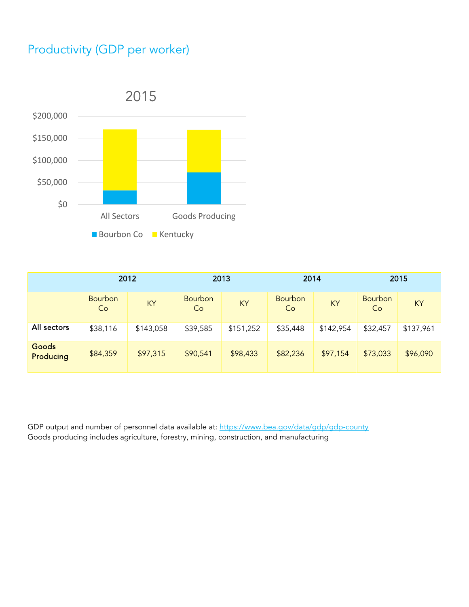## Productivity (GDP per worker)



|                    | 2012                 |           | 2013                 |           | 2014                 |           | 2015                 |           |
|--------------------|----------------------|-----------|----------------------|-----------|----------------------|-----------|----------------------|-----------|
|                    | <b>Bourbon</b><br>Co | KY        | <b>Bourbon</b><br>Co | KY        | <b>Bourbon</b><br>Co | KY        | <b>Bourbon</b><br>Co | KY        |
| All sectors        | \$38,116             | \$143,058 | \$39,585             | \$151,252 | \$35,448             | \$142,954 | \$32,457             | \$137,961 |
| Goods<br>Producing | \$84,359             | \$97,315  | \$90,541             | \$98,433  | \$82,236             | \$97,154  | \$73,033             | \$96,090  |

GDP output and number of personnel data available at[: https://www.bea.gov/data/gdp/gdp-county](https://www.bea.gov/data/gdp/gdp-county) Goods producing includes agriculture, forestry, mining, construction, and manufacturing